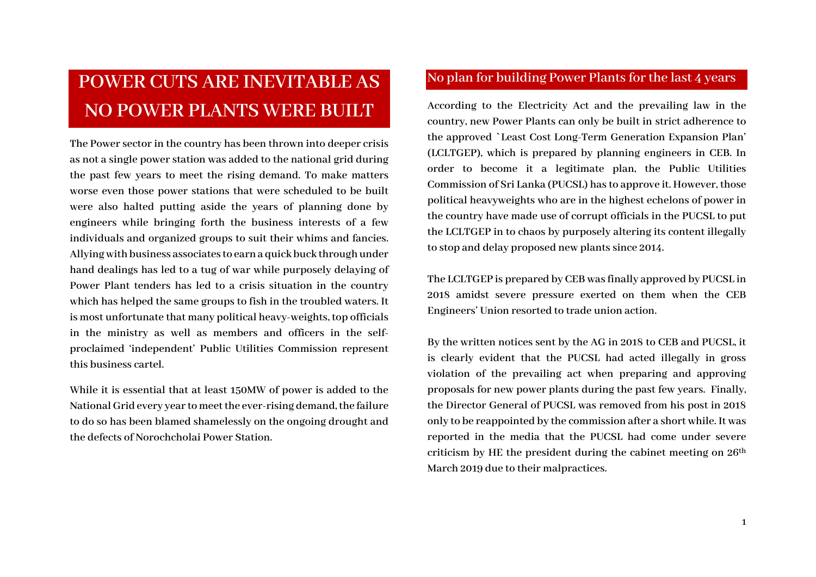# **POWER CUTS ARE INEVITABLE AS NO POWER PLANTS WERE BUILT**

**The Power sector in the country has been thrown into deeper crisis as not a single power station was added to the national grid during the past few years to meet the rising demand. To make matters worse even those power stations that were scheduled to be built were also halted putting aside the years of planning done by engineers while bringing forth the business interests of a few individuals and organized groups to suit their whims and fancies. Allying with business associates to earn a quick buck through under hand dealings has led to a tug of war while purposely delaying of Power Plant tenders has led to a crisis situation in the country which has helped the same groups to fish in the troubled waters. It is most unfortunate that many political heavy-weights, top officials in the ministry as well as members and officers in the selfproclaimed 'independent' Public Utilities Commission represent this business cartel.**

**While it is essential that at least 150MW of power is added to the National Grid every year to meet the ever-rising demand,the failure to do so has been blamed shamelessly on the ongoing drought and the defects of Norochcholai Power Station.**

#### **No plan for building Power Plants for the last 4 years**

**According to the Electricity Act and the prevailing law in the country, new Power Plants can only be built in strict adherence to the approved `Least Cost Long-Term Generation Expansion Plan' (LCLTGEP), which is prepared by planning engineers in CEB. In order to become it a legitimate plan, the Public Utilities Commission of Sri Lanka (PUCSL) has to approve it. However, those political heavyweights who are in the highest echelons of power in the country have made use of corrupt officials in the PUCSL to put the LCLTGEP in to chaos by purposely altering its content illegally to stop and delay proposed new plants since 2014.**

**The LCLTGEP is prepared by CEB was finally approved by PUCSL in 2018 amidst severe pressure exerted on them when the CEB Engineers' Union resorted to trade union action.**

**By the written notices sent by the AG in 2018 to CEB and PUCSL, it is clearly evident that the PUCSL had acted illegally in gross violation of the prevailing act when preparing and approving proposals for new power plants during the past few years. Finally, the Director General of PUCSL was removed from his post in 2018 only to be reappointed by the commission after a short while. It was reported in the media that the PUCSL had come under severe criticism by HE the president during the cabinet meeting on 26th March 2019 due to their malpractices.**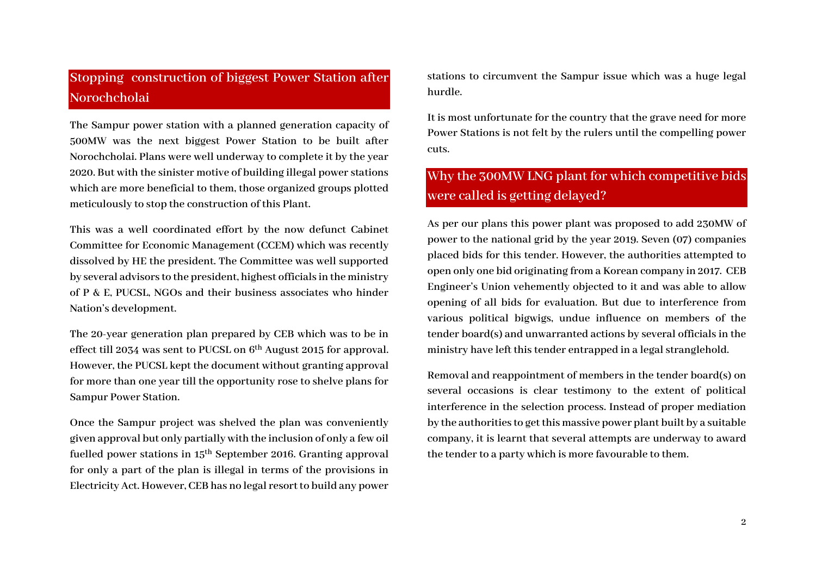## **Stopping construction of biggest Power Station after Norochcholai**

**The Sampur power station with a planned generation capacity of 500MW was the next biggest Power Station to be built after Norochcholai. Plans were well underway to complete it by the year 2020. But with the sinister motive of building illegal power stations which are more beneficial to them, those organized groups plotted meticulously to stop the construction of this Plant.**

**This was a well coordinated effort by the now defunct Cabinet Committee for Economic Management (CCEM) which was recently dissolved by HE the president. The Committee was well supported by several advisors to the president, highest officials in the ministry of P & E, PUCSL, NGOs and their business associates who hinder Nation's development.**

**The 20-year generation plan prepared by CEB which was to be in effect till 2034 was sent to PUCSL on 6th August 2015 for approval. However, the PUCSL kept the document without granting approval for more than one year till the opportunity rose to shelve plans for Sampur Power Station.**

**Once the Sampur project was shelved the plan was conveniently given approval but only partially with the inclusion of only a few oil fuelled power stations in 15th September 2016. Granting approval for only a part of the plan is illegal in terms of the provisions in Electricity Act. However, CEB has no legal resort to build any power** 

**stations to circumvent the Sampur issue which was a huge legal hurdle.**

**It is most unfortunate for the country that the grave need for more Power Stations is not felt by the rulers until the compelling power cuts.**

## **Why the 300MW LNG plant for which competitive bids were called is getting delayed?**

**As per our plans this power plant was proposed to add 230MW of power to the national grid by the year 2019. Seven (07) companies placed bids for this tender. However, the authorities attempted to open only one bid originating from a Korean company in 2017. CEB Engineer's Union vehemently objected to it and was able to allow opening of all bids for evaluation. But due to interference from various political bigwigs, undue influence on members of the tender board(s) and unwarranted actions by several officials in the ministry have left this tender entrapped in a legal stranglehold.**

**Removal and reappointment of members in the tender board(s) on several occasions is clear testimony to the extent of political interference in the selection process. Instead of proper mediation by the authorities to get this massive power plant built by a suitable company, it is learnt that several attempts are underway to award the tender to a party which is more favourable to them.**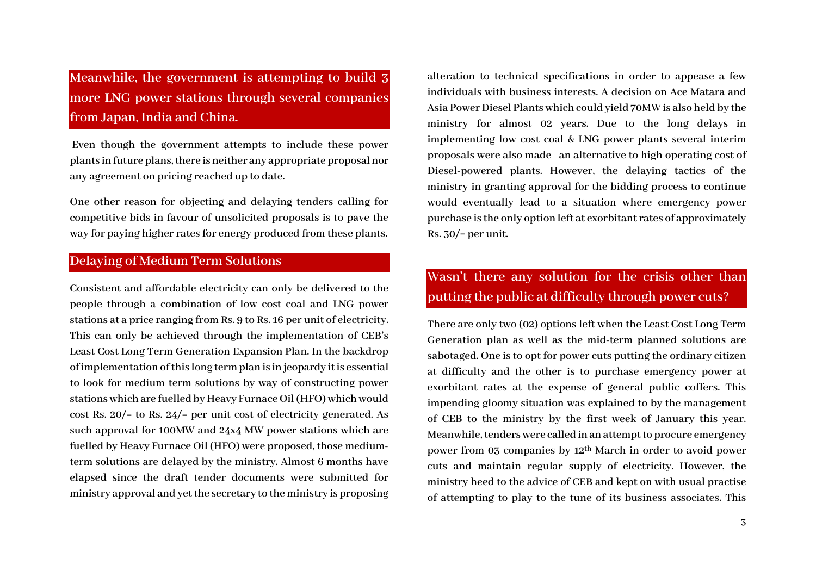**Meanwhile, the government is attempting to build 3 more LNG power stations through several companies from Japan, India and China.**

**Even though the government attempts to include these power plants in future plans,there is neither any appropriate proposal nor any agreement on pricing reached up to date.** 

**One other reason for objecting and delaying tenders calling for competitive bids in favour of unsolicited proposals is to pave the way for paying higher rates for energy produced from these plants.**

#### **Delaying of Medium Term Solutions**

**Consistent and affordable electricity can only be delivered to the people through a combination of low cost coal and LNG power stations at a price ranging from Rs. 9 to Rs. 16 per unit of electricity. This can only be achieved through the implementation of CEB's Least Cost Long Term Generation Expansion Plan. In the backdrop of implementation of this long term plan is in jeopardy it is essential to look for medium term solutions by way of constructing power stations which are fuelled by Heavy Furnace Oil (HFO) which would cost Rs. 20/= to Rs. 24/= per unit cost of electricity generated. As such approval for 100MW and 24x4 MW power stations which are fuelled by Heavy Furnace Oil (HFO) were proposed, those mediumterm solutions are delayed by the ministry. Almost 6 months have elapsed since the draft tender documents were submitted for ministry approval and yet the secretary to the ministry is proposing** 

**alteration to technical specifications in order to appease a few individuals with business interests. A decision on Ace Matara and Asia Power Diesel Plantswhich could yield 70MW is also held by the ministry for almost 02 years. Due to the long delays in implementing low cost coal & LNG power plants several interim proposals were also made an alternative to high operating cost of Diesel-powered plants. However, the delaying tactics of the ministry in granting approval for the bidding process to continue would eventually lead to a situation where emergency power purchase is the only option left at exorbitant rates of approximately Rs. 30/= per unit.**

## **Wasn't there any solution for the crisis other than putting the public at difficulty through power cuts?**

**There are only two (02) options left when the Least Cost Long Term Generation plan as well as the mid-term planned solutions are sabotaged. One is to opt for power cuts putting the ordinary citizen at difficulty and the other is to purchase emergency power at exorbitant rates at the expense of general public coffers. This impending gloomy situation was explained to by the management of CEB to the ministry by the first week of January this year.**  Meanwhile, tenders were called in an attempt to procure emergency **power from 03 companies by 12th March in order to avoid power cuts and maintain regular supply of electricity. However, the ministry heed to the advice of CEB and kept on with usual practise of attempting to play to the tune of its business associates. This**